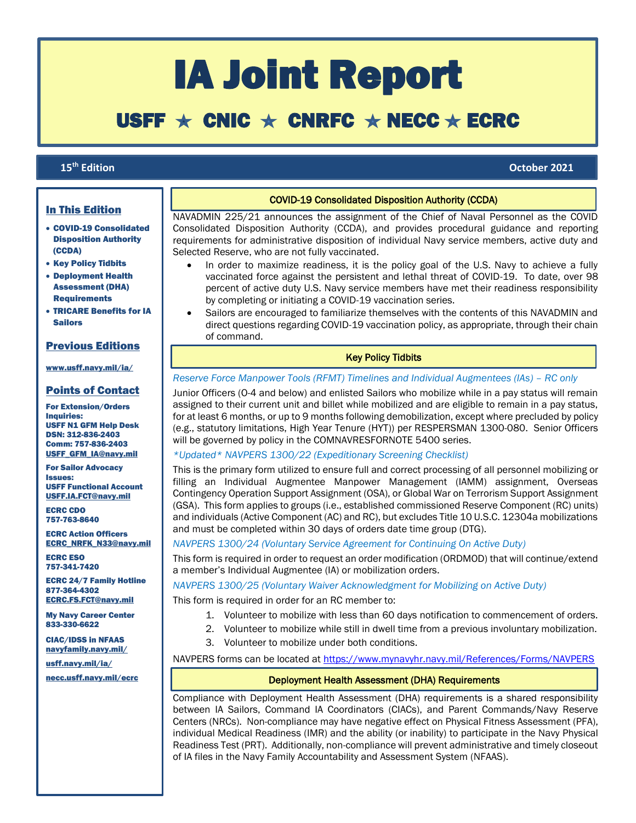# IA Joint Report

# USFF  $\star$  CNIC  $\star$  CNRFC  $\star$  NECC  $\star$  ECRC

# 15<sup>th</sup> Edition

ſ

**th Edition October 2021**

# In This Edition

- COVID-19 Consolidated Disposition Authority (CCDA)
- Key Policy Tidbits
- Deployment Health Assessment (DHA) **Requirements**
- TRICARE Benefits for IA Sailors

# Previous Editions

#### [www.usff.navy.mil/ia/](https://www.usff.navy.mil/ia/)

# Points of Contact

For Extension/Orders Inquiries: USFF N1 GFM Help Desk DSN: 312-836-2403 Comm: 757-836-2403 [USFF\\_GFM\\_IA@navy.mil](mailto:USFF_GFM_IA@navy.mil)

For Sailor Advocacy Issues: USFF Functional Account [USFF.IA.FCT@navy.mil](mailto:USFF.IA.FCT@navy.mil)

ECRC CDO 757-763-8640

ECRC Action Officers [ECRC\\_NRFK\\_N33@navy.mil](mailto:ecrc_nrfk_n33@navy.mil)

ECRC ESO 757-341-7420

ECRC 24/7 Family Hotline 877-364-4302 [ECRC.FS.FCT@navy.mil](mailto:ECRC.FS.FCT@navy.mil)

My Navy Career Center 833-330-6622

CIAC/IDSS in NFAAS [navyfamily.navy.mil/](https://navyfamily.navy.mil/)

[usff.navy.mil/ia/](https://www.usff.navy.mil/ia/)

# COVID-19 Consolidated Disposition Authority (CCDA)

NAVADMIN 225/21 announces the assignment of the Chief of Naval Personnel as the COVID Consolidated Disposition Authority (CCDA), and provides procedural guidance and reporting requirements for administrative disposition of individual Navy service members, active duty and Selected Reserve, who are not fully vaccinated.

- In order to maximize readiness, it is the policy goal of the U.S. Navy to achieve a fully vaccinated force against the persistent and lethal threat of COVID-19. To date, over 98 percent of active duty U.S. Navy service members have met their readiness responsibility by completing or initiating a COVID-19 vaccination series.
- Sailors are encouraged to familiarize themselves with the contents of this NAVADMIN and direct questions regarding COVID-19 vaccination policy, as appropriate, through their chain of command.

#### Key Policy Tidbits

## *Reserve Force Manpower Tools (RFMT) Timelines and Individual Augmentees (IAs) – RC only*

Junior Officers (O-4 and below) and enlisted Sailors who mobilize while in a pay status will remain assigned to their current unit and billet while mobilized and are eligible to remain in a pay status, for at least 6 months, or up to 9 months following demobilization, except where precluded by policy (e.g., statutory limitations, High Year Tenure (HYT)) per RESPERSMAN 1300-080. Senior Officers will be governed by policy in the COMNAVRESFORNOTE 5400 series.

## *\*Updated\* NAVPERS 1300/22 (Expeditionary Screening Checklist)*

This is the primary form utilized to ensure full and correct processing of all personnel mobilizing or filling an Individual Augmentee Manpower Management (IAMM) assignment, Overseas Contingency Operation Support Assignment (OSA), or Global War on Terrorism Support Assignment (GSA). This form applies to groups (i.e., established commissioned Reserve Component (RC) units) and individuals (Active Component (AC) and RC), but excludes Title 10 U.S.C. 12304a mobilizations and must be completed within 30 days of orders date time group (DTG).

# *NAVPERS 1300/24 (Voluntary Service Agreement for Continuing On Active Duty)*

This form is required in order to request an order modification (ORDMOD) that will continue/extend a member's Individual Augmentee (IA) or mobilization orders.

#### *NAVPERS 1300/25 (Voluntary Waiver Acknowledgment for Mobilizing on Active Duty)*

This form is required in order for an RC member to:

- 1. Volunteer to mobilize with less than 60 days notification to commencement of orders.
- 2. Volunteer to mobilize while still in dwell time from a previous involuntary mobilization.
- 3. Volunteer to mobilize under both conditions.

NAVPERS forms can be located at<https://www.mynavyhr.navy.mil/References/Forms/NAVPERS>

# [necc.usff.navy.mil/ecrc](http://www.necc.usff.navy.mil/ecrc) Deployment Health Assessment (DHA) Requirements

Compliance with Deployment Health Assessment (DHA) requirements is a shared responsibility between IA Sailors, Command IA Coordinators (CIACs), and Parent Commands/Navy Reserve Centers (NRCs). Non-compliance may have negative effect on Physical Fitness Assessment (PFA), individual Medical Readiness (IMR) and the ability (or inability) to participate in the Navy Physical Readiness Test (PRT). Additionally, non-compliance will prevent administrative and timely closeout of IA files in the Navy Family Accountability and Assessment System (NFAAS).